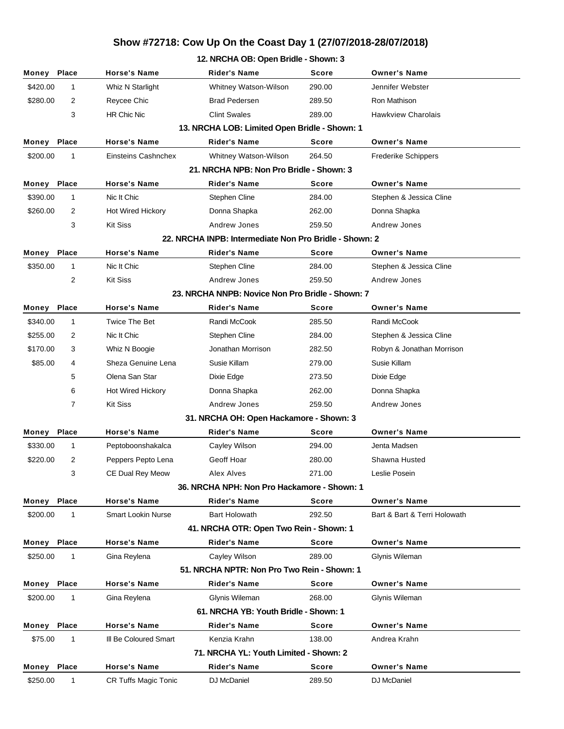| 12. NRCHA OB: Open Bridle - Shown: 3 |              |                           |                                                        |              |                              |  |
|--------------------------------------|--------------|---------------------------|--------------------------------------------------------|--------------|------------------------------|--|
| Money                                | <b>Place</b> | <b>Horse's Name</b>       | <b>Rider's Name</b>                                    | <b>Score</b> | <b>Owner's Name</b>          |  |
| \$420.00                             | 1            | Whiz N Starlight          | Whitney Watson-Wilson                                  | 290.00       | Jennifer Webster             |  |
| \$280.00                             | 2            | Reycee Chic               | <b>Brad Pedersen</b>                                   | 289.50       | Ron Mathison                 |  |
|                                      | 3            | <b>HR Chic Nic</b>        | <b>Clint Swales</b>                                    | 289.00       | <b>Hawkview Charolais</b>    |  |
|                                      |              |                           | 13. NRCHA LOB: Limited Open Bridle - Shown: 1          |              |                              |  |
| Money                                | Place        | <b>Horse's Name</b>       | <b>Rider's Name</b>                                    | <b>Score</b> | <b>Owner's Name</b>          |  |
| \$200.00                             | 1            | Einsteins Cashnchex       | Whitney Watson-Wilson                                  | 264.50       | <b>Frederike Schippers</b>   |  |
|                                      |              |                           | 21. NRCHA NPB: Non Pro Bridle - Shown: 3               |              |                              |  |
| Money                                | Place        | <b>Horse's Name</b>       | <b>Rider's Name</b>                                    | <b>Score</b> | <b>Owner's Name</b>          |  |
| \$390.00                             | 1            | Nic It Chic               | Stephen Cline                                          | 284.00       | Stephen & Jessica Cline      |  |
| \$260.00                             | 2            | Hot Wired Hickory         | Donna Shapka                                           | 262.00       | Donna Shapka                 |  |
|                                      | 3            | <b>Kit Siss</b>           | Andrew Jones                                           | 259.50       | Andrew Jones                 |  |
|                                      |              |                           | 22. NRCHA INPB: Intermediate Non Pro Bridle - Shown: 2 |              |                              |  |
| Money                                | Place        | <b>Horse's Name</b>       | <b>Rider's Name</b>                                    | <b>Score</b> | <b>Owner's Name</b>          |  |
| \$350.00                             | 1            | Nic It Chic               | Stephen Cline                                          | 284.00       | Stephen & Jessica Cline      |  |
|                                      | 2            | <b>Kit Siss</b>           | Andrew Jones                                           | 259.50       | Andrew Jones                 |  |
|                                      |              |                           | 23. NRCHA NNPB: Novice Non Pro Bridle - Shown: 7       |              |                              |  |
| Money                                | Place        | <b>Horse's Name</b>       | <b>Rider's Name</b>                                    | <b>Score</b> | <b>Owner's Name</b>          |  |
| \$340.00                             | 1            | <b>Twice The Bet</b>      | Randi McCook                                           | 285.50       | Randi McCook                 |  |
| \$255.00                             | 2            | Nic It Chic               | <b>Stephen Cline</b>                                   | 284.00       | Stephen & Jessica Cline      |  |
| \$170.00                             | 3            | Whiz N Boogie             | Jonathan Morrison                                      | 282.50       | Robyn & Jonathan Morrison    |  |
| \$85.00                              | 4            | Sheza Genuine Lena        | Susie Killam                                           | 279.00       | Susie Killam                 |  |
|                                      | 5            | Olena San Star            | Dixie Edge                                             | 273.50       | Dixie Edge                   |  |
|                                      | 6            | Hot Wired Hickory         | Donna Shapka                                           | 262.00       | Donna Shapka                 |  |
|                                      | 7            | <b>Kit Siss</b>           | Andrew Jones                                           | 259.50       | Andrew Jones                 |  |
|                                      |              |                           | 31. NRCHA OH: Open Hackamore - Shown: 3                |              |                              |  |
| Money                                | <b>Place</b> | <b>Horse's Name</b>       | <b>Rider's Name</b>                                    | <b>Score</b> | <b>Owner's Name</b>          |  |
| \$330.00                             | 1            | Peptoboonshakalca         | Cayley Wilson                                          | 294.00       | Jenta Madsen                 |  |
| \$220.00                             | 2            | Peppers Pepto Lena        | Geoff Hoar                                             | 280.00       | Shawna Husted                |  |
|                                      | 3            | CE Dual Rey Meow          | Alex Alves                                             | 271.00       | Leslie Posein                |  |
|                                      |              |                           | 36. NRCHA NPH: Non Pro Hackamore - Shown: 1            |              |                              |  |
| Money                                | Place        | <b>Horse's Name</b>       | <b>Rider's Name</b>                                    | Score        | <b>Owner's Name</b>          |  |
| \$200.00                             | 1            | <b>Smart Lookin Nurse</b> | <b>Bart Holowath</b>                                   | 292.50       | Bart & Bart & Terri Holowath |  |
|                                      |              |                           | 41. NRCHA OTR: Open Two Rein - Shown: 1                |              |                              |  |
| Money Place                          |              | <b>Horse's Name</b>       | <b>Rider's Name</b>                                    | Score        | <b>Owner's Name</b>          |  |
| \$250.00                             | 1            | Gina Reylena              | Cayley Wilson                                          | 289.00       | Glynis Wileman               |  |
|                                      |              |                           | 51. NRCHA NPTR: Non Pro Two Rein - Shown: 1            |              |                              |  |
| Money Place                          |              | <b>Horse's Name</b>       | <b>Rider's Name</b>                                    | <b>Score</b> | <b>Owner's Name</b>          |  |
| \$200.00                             | 1            | Gina Reylena              | Glynis Wileman                                         | 268.00       | Glynis Wileman               |  |
|                                      |              |                           | 61. NRCHA YB: Youth Bridle - Shown: 1                  |              |                              |  |
| Money                                | <b>Place</b> | <b>Horse's Name</b>       | <b>Rider's Name</b>                                    | <b>Score</b> | <b>Owner's Name</b>          |  |
| \$75.00                              | 1            | III Be Coloured Smart     | Kenzia Krahn                                           | 138.00       | Andrea Krahn                 |  |
|                                      |              |                           | 71. NRCHA YL: Youth Limited - Shown: 2                 |              |                              |  |
| Money                                | Place        | <b>Horse's Name</b>       | <b>Rider's Name</b>                                    | Score        | <b>Owner's Name</b>          |  |
| \$250.00                             | 1            | CR Tuffs Magic Tonic      | DJ McDaniel                                            | 289.50       | DJ McDaniel                  |  |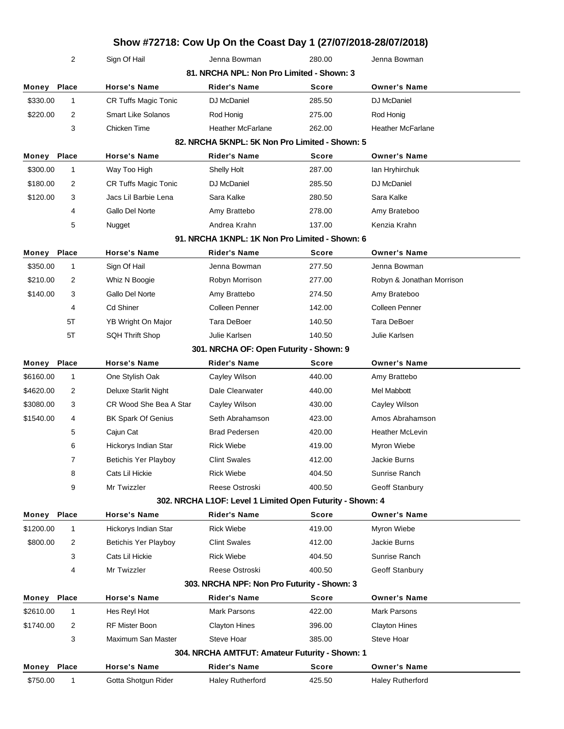|           | 2              | Sign Of Hail                | Jenna Bowman                              | 280.00                                                    | Jenna Bowman              |
|-----------|----------------|-----------------------------|-------------------------------------------|-----------------------------------------------------------|---------------------------|
|           |                |                             | 81. NRCHA NPL: Non Pro Limited - Shown: 3 |                                                           |                           |
| Money     | Place          | <b>Horse's Name</b>         | <b>Rider's Name</b>                       | <b>Score</b>                                              | <b>Owner's Name</b>       |
| \$330.00  | $\mathbf{1}$   | <b>CR Tuffs Magic Tonic</b> | DJ McDaniel                               | 285.50                                                    | DJ McDaniel               |
| \$220.00  | 2              | <b>Smart Like Solanos</b>   | Rod Honig                                 | 275.00                                                    | Rod Honig                 |
|           | 3              | Chicken Time                | <b>Heather McFarlane</b>                  | 262.00                                                    | <b>Heather McFarlane</b>  |
|           |                |                             |                                           | 82. NRCHA 5KNPL: 5K Non Pro Limited - Shown: 5            |                           |
| Money     | Place          | <b>Horse's Name</b>         | <b>Rider's Name</b>                       | <b>Score</b>                                              | <b>Owner's Name</b>       |
| \$300.00  | $\mathbf{1}$   | Way Too High                | Shelly Holt                               | 287.00                                                    | lan Hryhirchuk            |
| \$180.00  | 2              | CR Tuffs Magic Tonic        | DJ McDaniel                               | 285.50                                                    | DJ McDaniel               |
| \$120.00  | 3              | Jacs Lil Barbie Lena        | Sara Kalke                                | 280.50                                                    | Sara Kalke                |
|           | 4              | Gallo Del Norte             | Amy Brattebo                              | 278.00                                                    | Amy Brateboo              |
|           | 5              | Nugget                      | Andrea Krahn                              | 137.00                                                    | Kenzia Krahn              |
|           |                |                             |                                           | 91. NRCHA 1KNPL: 1K Non Pro Limited - Shown: 6            |                           |
| Money     | Place          | <b>Horse's Name</b>         | <b>Rider's Name</b>                       | <b>Score</b>                                              | <b>Owner's Name</b>       |
| \$350.00  | $\mathbf{1}$   | Sign Of Hail                | Jenna Bowman                              | 277.50                                                    | Jenna Bowman              |
| \$210.00  | 2              | Whiz N Boogie               | Robyn Morrison                            | 277.00                                                    | Robyn & Jonathan Morrison |
| \$140.00  | 3              | Gallo Del Norte             | Amy Brattebo                              | 274.50                                                    | Amy Brateboo              |
|           | 4              | <b>Cd Shiner</b>            | Colleen Penner                            | 142.00                                                    | Colleen Penner            |
|           | 5T             | YB Wright On Major          | Tara DeBoer                               | 140.50                                                    | Tara DeBoer               |
|           | 5T             | <b>SQH Thrift Shop</b>      | Julie Karlsen                             | 140.50                                                    | Julie Karlsen             |
|           |                |                             | 301. NRCHA OF: Open Futurity - Shown: 9   |                                                           |                           |
| Money     | Place          | <b>Horse's Name</b>         | <b>Rider's Name</b>                       | Score                                                     | <b>Owner's Name</b>       |
| \$6160.00 | $\mathbf{1}$   | One Stylish Oak             | Cayley Wilson                             | 440.00                                                    | Amy Brattebo              |
| \$4620.00 | 2              | Deluxe Starlit Night        | Dale Clearwater                           | 440.00                                                    | Mel Mabbott               |
| \$3080.00 | 3              | CR Wood She Bea A Star      | Cayley Wilson                             | 430.00                                                    | Cayley Wilson             |
| \$1540.00 | 4              | <b>BK Spark Of Genius</b>   | Seth Abrahamson                           | 423.00                                                    | Amos Abrahamson           |
|           | 5              | Cajun Cat                   | <b>Brad Pedersen</b>                      | 420.00                                                    | <b>Heather McLevin</b>    |
|           | 6              | Hickorys Indian Star        | <b>Rick Wiebe</b>                         | 419.00                                                    | Myron Wiebe               |
|           | 7              | <b>Betichis Yer Playboy</b> | <b>Clint Swales</b>                       | 412.00                                                    | Jackie Burns              |
|           | 8              | Cats Lil Hickie             | <b>Rick Wiebe</b>                         | 404.50                                                    | Sunrise Ranch             |
|           | 9              | Mr Twizzler                 | Reese Ostroski                            | 400.50                                                    | Geoff Stanbury            |
|           |                |                             |                                           | 302. NRCHA L1OF: Level 1 Limited Open Futurity - Shown: 4 |                           |
| Money     | Place          | <b>Horse's Name</b>         | <b>Rider's Name</b>                       | <b>Score</b>                                              | <b>Owner's Name</b>       |
| \$1200.00 | $\mathbf{1}$   | Hickorys Indian Star        | <b>Rick Wiebe</b>                         | 419.00                                                    | Myron Wiebe               |
| \$800.00  | $\overline{c}$ | Betichis Yer Playboy        | <b>Clint Swales</b>                       | 412.00                                                    | Jackie Burns              |
|           | 3              | Cats Lil Hickie             | <b>Rick Wiebe</b>                         | 404.50                                                    | Sunrise Ranch             |
|           | 4              | Mr Twizzler                 | Reese Ostroski                            | 400.50                                                    | Geoff Stanbury            |
|           |                |                             |                                           | 303. NRCHA NPF: Non Pro Futurity - Shown: 3               |                           |
| Money     | Place          | <b>Horse's Name</b>         | <b>Rider's Name</b>                       | <b>Score</b>                                              | <b>Owner's Name</b>       |
| \$2610.00 | $\mathbf{1}$   | Hes Reyl Hot                | <b>Mark Parsons</b>                       | 422.00                                                    | Mark Parsons              |
| \$1740.00 | 2              | RF Mister Boon              | <b>Clayton Hines</b>                      | 396.00                                                    | <b>Clayton Hines</b>      |
|           | 3              | Maximum San Master          | Steve Hoar                                | 385.00                                                    | Steve Hoar                |
|           |                |                             |                                           | 304. NRCHA AMTFUT: Amateur Futurity - Shown: 1            |                           |
| Money     | Place          | <b>Horse's Name</b>         | <b>Rider's Name</b>                       | Score                                                     | <b>Owner's Name</b>       |
| \$750.00  | $\mathbf{1}$   | Gotta Shotgun Rider         | Haley Rutherford                          | 425.50                                                    | Haley Rutherford          |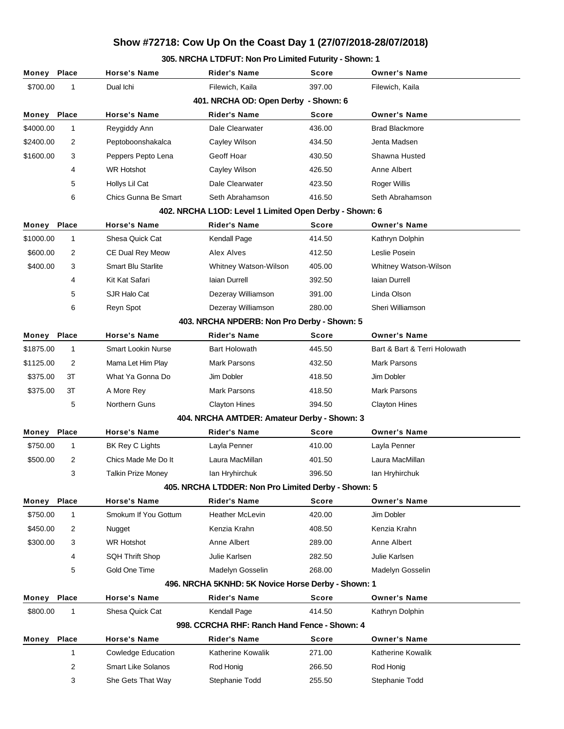### **305. NRCHA LTDFUT: Non Pro Limited Futurity - Shown: 1**

| Money                                        | <b>Place</b>                                           | <b>Horse's Name</b>       | <b>Rider's Name</b>                                 | <b>Score</b> | <b>Owner's Name</b>          |  |  |  |
|----------------------------------------------|--------------------------------------------------------|---------------------------|-----------------------------------------------------|--------------|------------------------------|--|--|--|
| \$700.00                                     | 1                                                      | Dual Ichi                 | Filewich, Kaila                                     | 397.00       | Filewich, Kaila              |  |  |  |
| 401. NRCHA OD: Open Derby - Shown: 6         |                                                        |                           |                                                     |              |                              |  |  |  |
| Money                                        | Place                                                  | <b>Horse's Name</b>       | <b>Rider's Name</b>                                 | <b>Score</b> | <b>Owner's Name</b>          |  |  |  |
| \$4000.00                                    | $\mathbf{1}$                                           | Reygiddy Ann              | Dale Clearwater                                     | 436.00       | <b>Brad Blackmore</b>        |  |  |  |
| \$2400.00                                    | 2                                                      | Peptoboonshakalca         | Cayley Wilson                                       | 434.50       | Jenta Madsen                 |  |  |  |
| \$1600.00                                    | 3                                                      | Peppers Pepto Lena        | Geoff Hoar                                          | 430.50       | Shawna Husted                |  |  |  |
|                                              | 4                                                      | <b>WR Hotshot</b>         | Cayley Wilson                                       | 426.50       | Anne Albert                  |  |  |  |
|                                              | 5                                                      | Hollys Lil Cat            | Dale Clearwater                                     | 423.50       | Roger Willis                 |  |  |  |
|                                              | 6                                                      | Chics Gunna Be Smart      | Seth Abrahamson                                     | 416.50       | Seth Abrahamson              |  |  |  |
|                                              | 402. NRCHA L1OD: Level 1 Limited Open Derby - Shown: 6 |                           |                                                     |              |                              |  |  |  |
| Money                                        | Place                                                  | <b>Horse's Name</b>       | <b>Rider's Name</b>                                 | Score        | <b>Owner's Name</b>          |  |  |  |
| \$1000.00                                    | $\mathbf{1}$                                           | Shesa Quick Cat           | Kendall Page                                        | 414.50       | Kathryn Dolphin              |  |  |  |
| \$600.00                                     | 2                                                      | CE Dual Rey Meow          | Alex Alves                                          | 412.50       | Leslie Posein                |  |  |  |
| \$400.00                                     | 3                                                      | <b>Smart Blu Starlite</b> | Whitney Watson-Wilson                               | 405.00       | Whitney Watson-Wilson        |  |  |  |
|                                              | 4                                                      | Kit Kat Safari            | laian Durrell                                       | 392.50       | laian Durrell                |  |  |  |
|                                              | 5                                                      | SJR Halo Cat              | Dezeray Williamson                                  | 391.00       | Linda Olson                  |  |  |  |
|                                              | 6                                                      | Reyn Spot                 | Dezeray Williamson                                  | 280.00       | Sheri Williamson             |  |  |  |
|                                              |                                                        |                           | 403. NRCHA NPDERB: Non Pro Derby - Shown: 5         |              |                              |  |  |  |
| Money                                        | Place                                                  | <b>Horse's Name</b>       | <b>Rider's Name</b>                                 | <b>Score</b> | <b>Owner's Name</b>          |  |  |  |
| \$1875.00                                    | $\mathbf{1}$                                           | <b>Smart Lookin Nurse</b> | <b>Bart Holowath</b>                                | 445.50       | Bart & Bart & Terri Holowath |  |  |  |
| \$1125.00                                    | 2                                                      | Mama Let Him Play         | <b>Mark Parsons</b>                                 | 432.50       | Mark Parsons                 |  |  |  |
| \$375.00                                     | 3T                                                     | What Ya Gonna Do          | Jim Dobler                                          | 418.50       | Jim Dobler                   |  |  |  |
| \$375.00                                     | 3T                                                     | A More Rey                | <b>Mark Parsons</b>                                 | 418.50       | Mark Parsons                 |  |  |  |
|                                              | 5                                                      | Northern Guns             | Clayton Hines                                       | 394.50       | <b>Clayton Hines</b>         |  |  |  |
|                                              |                                                        |                           | 404. NRCHA AMTDER: Amateur Derby - Shown: 3         |              |                              |  |  |  |
| Money                                        | Place                                                  | <b>Horse's Name</b>       | <b>Rider's Name</b>                                 | Score        | <b>Owner's Name</b>          |  |  |  |
| \$750.00                                     | $\mathbf{1}$                                           | BK Rey C Lights           | Layla Penner                                        | 410.00       | Layla Penner                 |  |  |  |
| \$500.00                                     | 2                                                      | Chics Made Me Do It       | Laura MacMillan                                     | 401.50       | Laura MacMillan              |  |  |  |
|                                              | 3                                                      | <b>Talkin Prize Money</b> | lan Hryhirchuk                                      | 396.50       | lan Hryhirchuk               |  |  |  |
|                                              |                                                        |                           | 405. NRCHA LTDDER: Non Pro Limited Derby - Shown: 5 |              |                              |  |  |  |
| Money                                        | <b>Place</b>                                           | <b>Horse's Name</b>       | <b>Rider's Name</b>                                 | <b>Score</b> | <b>Owner's Name</b>          |  |  |  |
| \$750.00                                     | $\mathbf{1}$                                           | Smokum If You Gottum      | <b>Heather McLevin</b>                              | 420.00       | Jim Dobler                   |  |  |  |
| \$450.00                                     | 2                                                      | Nugget                    | Kenzia Krahn                                        | 408.50       | Kenzia Krahn                 |  |  |  |
| \$300.00                                     | 3                                                      | <b>WR Hotshot</b>         | Anne Albert                                         | 289.00       | Anne Albert                  |  |  |  |
|                                              | 4                                                      | <b>SQH Thrift Shop</b>    | Julie Karlsen                                       | 282.50       | Julie Karlsen                |  |  |  |
|                                              | 5                                                      | Gold One Time             | Madelyn Gosselin                                    | 268.00       | Madelyn Gosselin             |  |  |  |
|                                              | 496. NRCHA 5KNHD: 5K Novice Horse Derby - Shown: 1     |                           |                                                     |              |                              |  |  |  |
| Money                                        | Place                                                  | <b>Horse's Name</b>       | <b>Rider's Name</b>                                 | <b>Score</b> | <b>Owner's Name</b>          |  |  |  |
| \$800.00                                     | $\mathbf 1$                                            | Shesa Quick Cat           | Kendall Page                                        | 414.50       | Kathryn Dolphin              |  |  |  |
| 998. CCRCHA RHF: Ranch Hand Fence - Shown: 4 |                                                        |                           |                                                     |              |                              |  |  |  |
| Money                                        | <b>Place</b>                                           | <b>Horse's Name</b>       | <b>Rider's Name</b>                                 | <b>Score</b> | <b>Owner's Name</b>          |  |  |  |
|                                              | $\mathbf{1}$                                           | <b>Cowledge Education</b> | Katherine Kowalik                                   | 271.00       | Katherine Kowalik            |  |  |  |
|                                              | 2                                                      | <b>Smart Like Solanos</b> | Rod Honig                                           | 266.50       | Rod Honig                    |  |  |  |
|                                              | 3                                                      | She Gets That Way         | Stephanie Todd                                      | 255.50       | Stephanie Todd               |  |  |  |